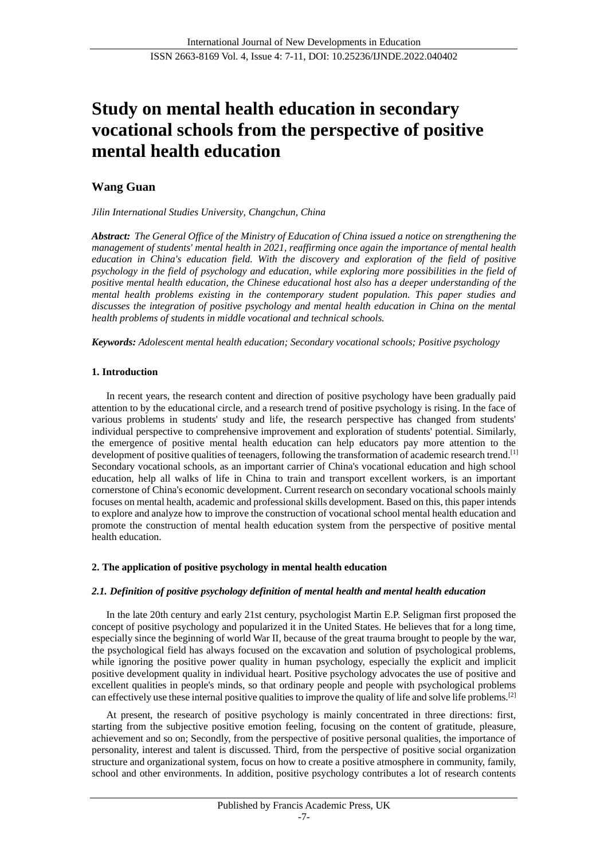# **Study on mental health education in secondary vocational schools from the perspective of positive mental health education**

## **Wang Guan**

*Jilin International Studies University, Changchun, China*

*Abstract: The General Office of the Ministry of Education of China issued a notice on strengthening the management of students' mental health in 2021, reaffirming once again the importance of mental health education in China's education field. With the discovery and exploration of the field of positive psychology in the field of psychology and education, while exploring more possibilities in the field of positive mental health education, the Chinese educational host also has a deeper understanding of the mental health problems existing in the contemporary student population. This paper studies and discusses the integration of positive psychology and mental health education in China on the mental health problems of students in middle vocational and technical schools.*

*Keywords: Adolescent mental health education; Secondary vocational schools; Positive psychology*

## **1. Introduction**

In recent years, the research content and direction of positive psychology have been gradually paid attention to by the educational circle, and a research trend of positive psychology is rising. In the face of various problems in students' study and life, the research perspective has changed from students' individual perspective to comprehensive improvement and exploration of students' potential. Similarly, the emergence of positive mental health education can help educators pay more attention to the development of positive qualities of teenagers, following the transformation of academic research trend.<sup>[1]</sup> Secondary vocational schools, as an important carrier of China's vocational education and high school education, help all walks of life in China to train and transport excellent workers, is an important cornerstone of China's economic development. Current research on secondary vocational schools mainly focuses on mental health, academic and professional skills development. Based on this, this paper intends to explore and analyze how to improve the construction of vocational school mental health education and promote the construction of mental health education system from the perspective of positive mental health education.

#### **2. The application of positive psychology in mental health education**

## *2.1. Definition of positive psychology definition of mental health and mental health education*

In the late 20th century and early 21st century, psychologist Martin E.P. Seligman first proposed the concept of positive psychology and popularized it in the United States. He believes that for a long time, especially since the beginning of world War II, because of the great trauma brought to people by the war, the psychological field has always focused on the excavation and solution of psychological problems, while ignoring the positive power quality in human psychology, especially the explicit and implicit positive development quality in individual heart. Positive psychology advocates the use of positive and excellent qualities in people's minds, so that ordinary people and people with psychological problems can effectively use these internal positive qualities to improve the quality of life and solve life problems.<sup>[2]</sup>

At present, the research of positive psychology is mainly concentrated in three directions: first, starting from the subjective positive emotion feeling, focusing on the content of gratitude, pleasure, achievement and so on; Secondly, from the perspective of positive personal qualities, the importance of personality, interest and talent is discussed. Third, from the perspective of positive social organization structure and organizational system, focus on how to create a positive atmosphere in community, family, school and other environments. In addition, positive psychology contributes a lot of research contents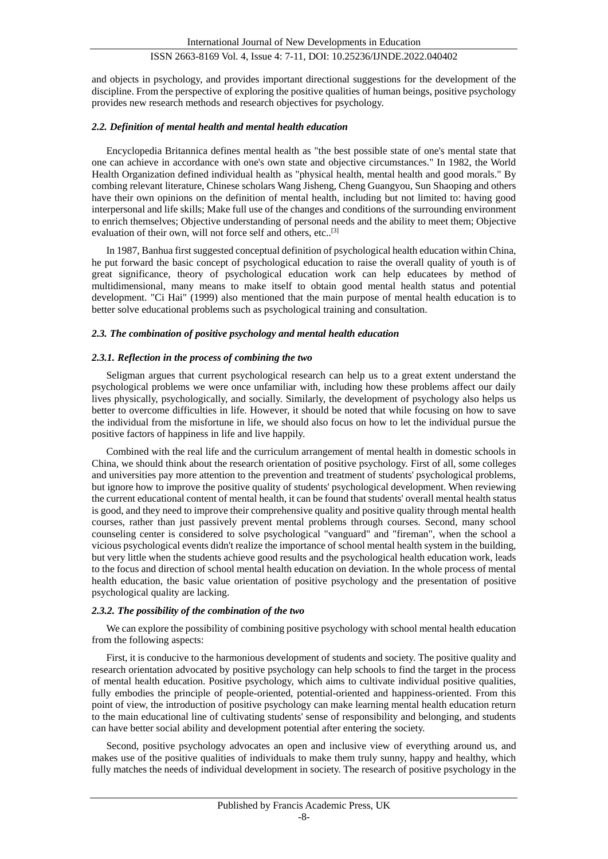and objects in psychology, and provides important directional suggestions for the development of the discipline. From the perspective of exploring the positive qualities of human beings, positive psychology provides new research methods and research objectives for psychology.

#### *2.2. Definition of mental health and mental health education*

Encyclopedia Britannica defines mental health as "the best possible state of one's mental state that one can achieve in accordance with one's own state and objective circumstances." In 1982, the World Health Organization defined individual health as "physical health, mental health and good morals." By combing relevant literature, Chinese scholars Wang Jisheng, Cheng Guangyou, Sun Shaoping and others have their own opinions on the definition of mental health, including but not limited to: having good interpersonal and life skills; Make full use of the changes and conditions of the surrounding environment to enrich themselves; Objective understanding of personal needs and the ability to meet them; Objective evaluation of their own, will not force self and others, etc..[3]

In 1987, Banhua first suggested conceptual definition of psychological health education within China, he put forward the basic concept of psychological education to raise the overall quality of youth is of great significance, theory of psychological education work can help educatees by method of multidimensional, many means to make itself to obtain good mental health status and potential development. "Ci Hai" (1999) also mentioned that the main purpose of mental health education is to better solve educational problems such as psychological training and consultation.

#### *2.3. The combination of positive psychology and mental health education*

#### *2.3.1. Reflection in the process of combining the two*

Seligman argues that current psychological research can help us to a great extent understand the psychological problems we were once unfamiliar with, including how these problems affect our daily lives physically, psychologically, and socially. Similarly, the development of psychology also helps us better to overcome difficulties in life. However, it should be noted that while focusing on how to save the individual from the misfortune in life, we should also focus on how to let the individual pursue the positive factors of happiness in life and live happily.

Combined with the real life and the curriculum arrangement of mental health in domestic schools in China, we should think about the research orientation of positive psychology. First of all, some colleges and universities pay more attention to the prevention and treatment of students' psychological problems, but ignore how to improve the positive quality of students' psychological development. When reviewing the current educational content of mental health, it can be found that students' overall mental health status is good, and they need to improve their comprehensive quality and positive quality through mental health courses, rather than just passively prevent mental problems through courses. Second, many school counseling center is considered to solve psychological "vanguard" and "fireman", when the school a vicious psychological events didn't realize the importance of school mental health system in the building, but very little when the students achieve good results and the psychological health education work, leads to the focus and direction of school mental health education on deviation. In the whole process of mental health education, the basic value orientation of positive psychology and the presentation of positive psychological quality are lacking.

#### *2.3.2. The possibility of the combination of the two*

We can explore the possibility of combining positive psychology with school mental health education from the following aspects:

First, it is conducive to the harmonious development of students and society. The positive quality and research orientation advocated by positive psychology can help schools to find the target in the process of mental health education. Positive psychology, which aims to cultivate individual positive qualities, fully embodies the principle of people-oriented, potential-oriented and happiness-oriented. From this point of view, the introduction of positive psychology can make learning mental health education return to the main educational line of cultivating students' sense of responsibility and belonging, and students can have better social ability and development potential after entering the society.

Second, positive psychology advocates an open and inclusive view of everything around us, and makes use of the positive qualities of individuals to make them truly sunny, happy and healthy, which fully matches the needs of individual development in society. The research of positive psychology in the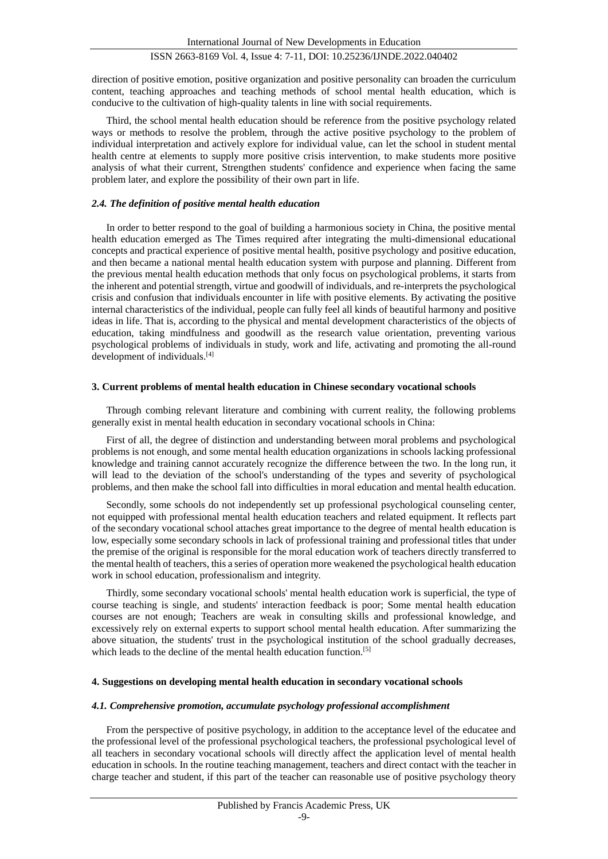direction of positive emotion, positive organization and positive personality can broaden the curriculum content, teaching approaches and teaching methods of school mental health education, which is conducive to the cultivation of high-quality talents in line with social requirements.

Third, the school mental health education should be reference from the positive psychology related ways or methods to resolve the problem, through the active positive psychology to the problem of individual interpretation and actively explore for individual value, can let the school in student mental health centre at elements to supply more positive crisis intervention, to make students more positive analysis of what their current, Strengthen students' confidence and experience when facing the same problem later, and explore the possibility of their own part in life.

#### *2.4. The definition of positive mental health education*

In order to better respond to the goal of building a harmonious society in China, the positive mental health education emerged as The Times required after integrating the multi-dimensional educational concepts and practical experience of positive mental health, positive psychology and positive education, and then became a national mental health education system with purpose and planning. Different from the previous mental health education methods that only focus on psychological problems, it starts from the inherent and potential strength, virtue and goodwill of individuals, and re-interprets the psychological crisis and confusion that individuals encounter in life with positive elements. By activating the positive internal characteristics of the individual, people can fully feel all kinds of beautiful harmony and positive ideas in life. That is, according to the physical and mental development characteristics of the objects of education, taking mindfulness and goodwill as the research value orientation, preventing various psychological problems of individuals in study, work and life, activating and promoting the all-round development of individuals.<sup>[4]</sup>

#### **3. Current problems of mental health education in Chinese secondary vocational schools**

Through combing relevant literature and combining with current reality, the following problems generally exist in mental health education in secondary vocational schools in China:

First of all, the degree of distinction and understanding between moral problems and psychological problems is not enough, and some mental health education organizations in schools lacking professional knowledge and training cannot accurately recognize the difference between the two. In the long run, it will lead to the deviation of the school's understanding of the types and severity of psychological problems, and then make the school fall into difficulties in moral education and mental health education.

Secondly, some schools do not independently set up professional psychological counseling center, not equipped with professional mental health education teachers and related equipment. It reflects part of the secondary vocational school attaches great importance to the degree of mental health education is low, especially some secondary schools in lack of professional training and professional titles that under the premise of the original is responsible for the moral education work of teachers directly transferred to the mental health of teachers, this a series of operation more weakened the psychological health education work in school education, professionalism and integrity.

Thirdly, some secondary vocational schools' mental health education work is superficial, the type of course teaching is single, and students' interaction feedback is poor; Some mental health education courses are not enough; Teachers are weak in consulting skills and professional knowledge, and excessively rely on external experts to support school mental health education. After summarizing the above situation, the students' trust in the psychological institution of the school gradually decreases, which leads to the decline of the mental health education function.<sup>[5]</sup>

#### **4. Suggestions on developing mental health education in secondary vocational schools**

#### *4.1. Comprehensive promotion, accumulate psychology professional accomplishment*

From the perspective of positive psychology, in addition to the acceptance level of the educatee and the professional level of the professional psychological teachers, the professional psychological level of all teachers in secondary vocational schools will directly affect the application level of mental health education in schools. In the routine teaching management, teachers and direct contact with the teacher in charge teacher and student, if this part of the teacher can reasonable use of positive psychology theory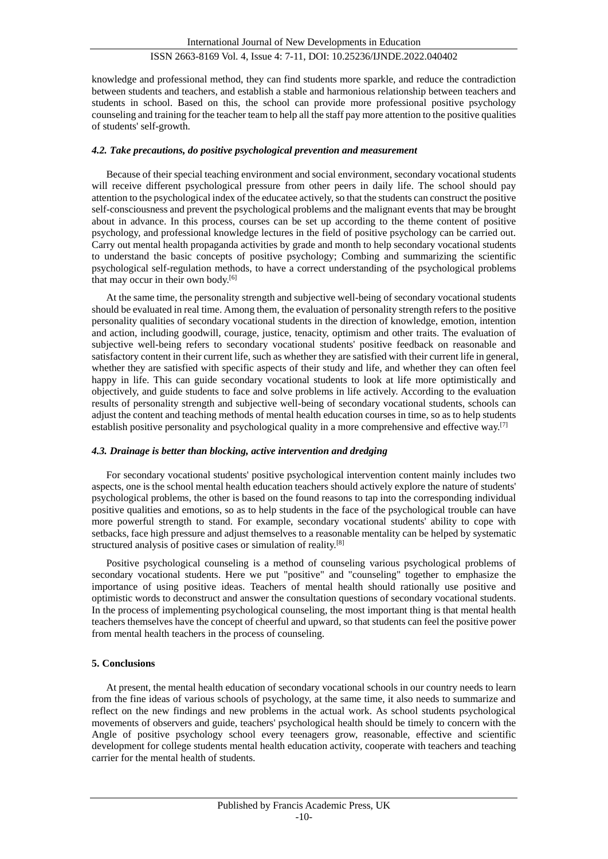knowledge and professional method, they can find students more sparkle, and reduce the contradiction between students and teachers, and establish a stable and harmonious relationship between teachers and students in school. Based on this, the school can provide more professional positive psychology counseling and training for the teacher team to help all the staff pay more attention to the positive qualities of students' self-growth.

#### *4.2. Take precautions, do positive psychological prevention and measurement*

Because of their special teaching environment and social environment, secondary vocational students will receive different psychological pressure from other peers in daily life. The school should pay attention to the psychological index of the educatee actively, so that the students can construct the positive self-consciousness and prevent the psychological problems and the malignant events that may be brought about in advance. In this process, courses can be set up according to the theme content of positive psychology, and professional knowledge lectures in the field of positive psychology can be carried out. Carry out mental health propaganda activities by grade and month to help secondary vocational students to understand the basic concepts of positive psychology; Combing and summarizing the scientific psychological self-regulation methods, to have a correct understanding of the psychological problems that may occur in their own body.<sup>[6]</sup>

At the same time, the personality strength and subjective well-being of secondary vocational students should be evaluated in real time. Among them, the evaluation of personality strength refers to the positive personality qualities of secondary vocational students in the direction of knowledge, emotion, intention and action, including goodwill, courage, justice, tenacity, optimism and other traits. The evaluation of subjective well-being refers to secondary vocational students' positive feedback on reasonable and satisfactory content in their current life, such as whether they are satisfied with their current life in general, whether they are satisfied with specific aspects of their study and life, and whether they can often feel happy in life. This can guide secondary vocational students to look at life more optimistically and objectively, and guide students to face and solve problems in life actively. According to the evaluation results of personality strength and subjective well-being of secondary vocational students, schools can adjust the content and teaching methods of mental health education courses in time, so as to help students establish positive personality and psychological quality in a more comprehensive and effective way.<sup>[7]</sup>

#### *4.3. Drainage is better than blocking, active intervention and dredging*

For secondary vocational students' positive psychological intervention content mainly includes two aspects, one is the school mental health education teachers should actively explore the nature of students' psychological problems, the other is based on the found reasons to tap into the corresponding individual positive qualities and emotions, so as to help students in the face of the psychological trouble can have more powerful strength to stand. For example, secondary vocational students' ability to cope with setbacks, face high pressure and adjust themselves to a reasonable mentality can be helped by systematic structured analysis of positive cases or simulation of reality.[8]

Positive psychological counseling is a method of counseling various psychological problems of secondary vocational students. Here we put "positive" and "counseling" together to emphasize the importance of using positive ideas. Teachers of mental health should rationally use positive and optimistic words to deconstruct and answer the consultation questions of secondary vocational students. In the process of implementing psychological counseling, the most important thing is that mental health teachers themselves have the concept of cheerful and upward, so that students can feel the positive power from mental health teachers in the process of counseling.

#### **5. Conclusions**

At present, the mental health education of secondary vocational schools in our country needs to learn from the fine ideas of various schools of psychology, at the same time, it also needs to summarize and reflect on the new findings and new problems in the actual work. As school students psychological movements of observers and guide, teachers' psychological health should be timely to concern with the Angle of positive psychology school every teenagers grow, reasonable, effective and scientific development for college students mental health education activity, cooperate with teachers and teaching carrier for the mental health of students.